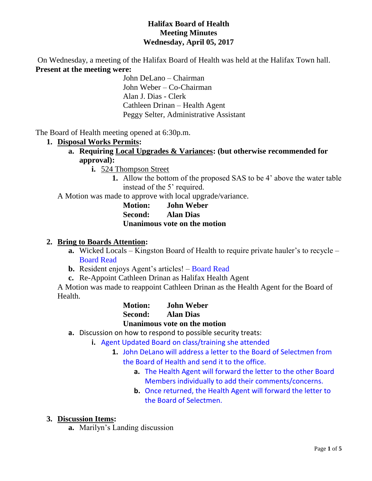### **Halifax Board of Health Meeting Minutes Wednesday, April 05, 2017**

On Wednesday, a meeting of the Halifax Board of Health was held at the Halifax Town hall. **Present at the meeting were:**

John DeLano – Chairman John Weber – Co-Chairman Alan J. Dias - Clerk Cathleen Drinan – Health Agent Peggy Selter, Administrative Assistant

The Board of Health meeting opened at 6:30p.m.

### **1. Disposal Works Permits:**

- **a. Requiring Local Upgrades & Variances: (but otherwise recommended for approval):**
	- **i.** 524 Thompson Street
		- **1.** Allow the bottom of the proposed SAS to be 4' above the water table instead of the 5' required.

A Motion was made to approve with local upgrade/variance.

**Motion: John Weber Second: Alan Dias Unanimous vote on the motion**

#### **2. Bring to Boards Attention:**

- **a.** Wicked Locals Kingston Board of Health to require private hauler's to recycle Board Read
- **b.** Resident enjoys Agent's articles! Board Read
- **c.** Re-Appoint Cathleen Drinan as Halifax Health Agent

A Motion was made to reappoint Cathleen Drinan as the Health Agent for the Board of Health.

> **Motion: John Weber Second: Alan Dias Unanimous vote on the motion**

- **a.** Discussion on how to respond to possible security treats:
	- **i.** Agent Updated Board on class/training she attended
		- **1.** John DeLano will address a letter to the Board of Selectmen from the Board of Health and send it to the office.
			- **a.** The Health Agent will forward the letter to the other Board Members individually to add their comments/concerns.
			- **b.** Once returned, the Health Agent will forward the letter to the Board of Selectmen.

### **3. Discussion Items:**

**a.** Marilyn's Landing discussion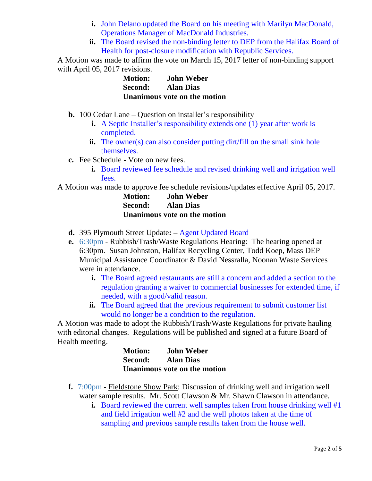- **i.** John Delano updated the Board on his meeting with Marilyn MacDonald, Operations Manager of MacDonald Industries.
- **ii.** The Board revised the non-binding letter to DEP from the Halifax Board of Health for post-closure modification with Republic Services.

A Motion was made to affirm the vote on March 15, 2017 letter of non-binding support with April 05, 2017 revisions.

| <b>Motion:</b> | <b>John Weber</b>                   |
|----------------|-------------------------------------|
| <b>Second:</b> | <b>Alan Dias</b>                    |
|                | <b>Unanimous vote on the motion</b> |

- **b.** 100 Cedar Lane Question on installer's responsibility
	- **i.** A Septic Installer's responsibility extends one (1) year after work is completed.
	- **ii.** The owner(s) can also consider putting dirt/fill on the small sink hole themselves.
- **c.** Fee Schedule Vote on new fees.
	- **i.** Board reviewed fee schedule and revised drinking well and irrigation well fees.

A Motion was made to approve fee schedule revisions/updates effective April 05, 2017.

**Motion: John Weber Second: Alan Dias Unanimous vote on the motion**

- **d.** 395 Plymouth Street Update**: –** Agent Updated Board
- **e.** 6:30pm Rubbish/Trash/Waste Regulations Hearing: The hearing opened at 6:30pm. Susan Johnston, Halifax Recycling Center, Todd Koep, Mass DEP Municipal Assistance Coordinator & David Nessralla, Noonan Waste Services were in attendance.
	- **i.** The Board agreed restaurants are still a concern and added a section to the regulation granting a waiver to commercial businesses for extended time, if needed, with a good/valid reason.
	- **ii.** The Board agreed that the previous requirement to submit customer list would no longer be a condition to the regulation.

A Motion was made to adopt the Rubbish/Trash/Waste Regulations for private hauling with editorial changes. Regulations will be published and signed at a future Board of Health meeting.

| <b>Motion:</b> | <b>John Weber</b>            |
|----------------|------------------------------|
| Second:        | <b>Alan Dias</b>             |
|                | Unanimous vote on the motion |

- **f.** 7:00pm Fieldstone Show Park: Discussion of drinking well and irrigation well water sample results. Mr. Scott Clawson & Mr. Shawn Clawson in attendance.
	- **i.** Board reviewed the current well samples taken from house drinking well #1 and field irrigation well #2 and the well photos taken at the time of sampling and previous sample results taken from the house well.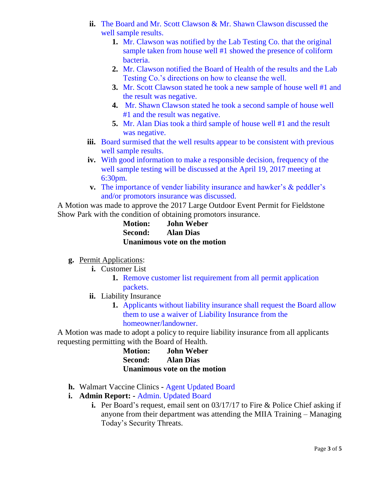- **ii.** The Board and Mr. Scott Clawson & Mr. Shawn Clawson discussed the well sample results.
	- **1.** Mr. Clawson was notified by the Lab Testing Co. that the original sample taken from house well #1 showed the presence of coliform bacteria.
	- **2.** Mr. Clawson notified the Board of Health of the results and the Lab Testing Co.'s directions on how to cleanse the well.
	- **3.** Mr. Scott Clawson stated he took a new sample of house well #1 and the result was negative.
	- **4.** Mr. Shawn Clawson stated he took a second sample of house well #1 and the result was negative.
	- **5.** Mr. Alan Dias took a third sample of house well #1 and the result was negative.
- **iii.** Board surmised that the well results appear to be consistent with previous well sample results.
- **iv.** With good information to make a responsible decision, frequency of the well sample testing will be discussed at the April 19, 2017 meeting at 6:30pm.
- **v.** The importance of vender liability insurance and hawker's & peddler's and/or promotors insurance was discussed.

A Motion was made to approve the 2017 Large Outdoor Event Permit for Fieldstone Show Park with the condition of obtaining promotors insurance.

> **Motion: John Weber Second: Alan Dias Unanimous vote on the motion**

# **g.** Permit Applications:

- **i.** Customer List
	- **1.** Remove customer list requirement from all permit application packets.
- **ii.** Liability Insurance
	- **1.** Applicants without liability insurance shall request the Board allow them to use a waiver of Liability Insurance from the homeowner/landowner.

A Motion was made to adopt a policy to require liability insurance from all applicants requesting permitting with the Board of Health.

| <b>Motion:</b> | <b>John Weber</b>            |
|----------------|------------------------------|
| Second:        | <b>Alan Dias</b>             |
|                | Unanimous vote on the motion |

- **h.** Walmart Vaccine Clinics **-** Agent Updated Board
- **i. Admin Report: -** Admin. Updated Board
	- **i.** Per Board's request, email sent on 03/17/17 to Fire & Police Chief asking if anyone from their department was attending the MIIA Training – Managing Today's Security Threats.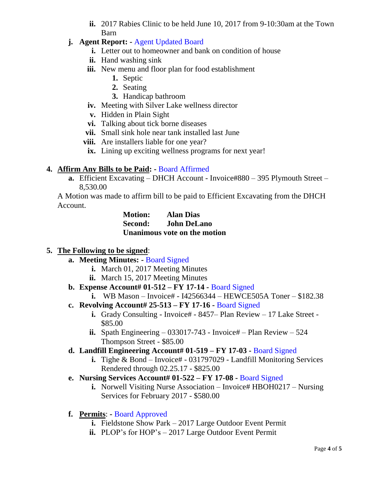**ii.** 2017 Rabies Clinic to be held June 10, 2017 from 9-10:30am at the Town Barn

# **j. Agent Report: -** Agent Updated Board

- **i.** Letter out to homeowner and bank on condition of house
- **ii.** Hand washing sink
- **iii.** New menu and floor plan for food establishment
	- **1.** Septic
	- **2.** Seating
	- **3.** Handicap bathroom
- **iv.** Meeting with Silver Lake wellness director
- **v.** Hidden in Plain Sight
- **vi.** Talking about tick borne diseases
- **vii.** Small sink hole near tank installed last June
- **viii.** Are installers liable for one year?
- ix. Lining up exciting wellness programs for next year!

### **4. Affirm Any Bills to be Paid: -** Board Affirmed

**a.** Efficient Excavating – DHCH Account - Invoice#880 – 395 Plymouth Street – 8,530.00

A Motion was made to affirm bill to be paid to Efficient Excavating from the DHCH Account.

> **Motion: Alan Dias Second: John DeLano Unanimous vote on the motion**

### **5. The Following to be signed**:

- **a. Meeting Minutes: -** Board Signed
	- **i.** March 01, 2017 Meeting Minutes
	- **ii.** March 15, 2017 Meeting Minutes
- **b. Expense Account# 01-512 – FY 17-14 -** Board Signed
	- **i.** WB Mason Invoice# I42566344 HEWCE505A Toner \$182.38
- **c. Revolving Account# 25-513 – FY 17-16 -** Board Signed
	- **i.** Grady Consulting Invoice# 8457– Plan Review 17 Lake Street -\$85.00
	- **ii.** Spath Engineering  $-033017-743$  Invoice#  $-$  Plan Review  $-524$ Thompson Street - \$85.00
- **d. Landfill Engineering Account# 01-519 – FY 17-03 -** Board Signed
	- **i.** Tighe & Bond Invoice# 031797029 Landfill Monitoring Services Rendered through 02.25.17 - \$825.00
- **e. Nursing Services Account# 01-522 – FY 17-08 -** Board Signed
	- **i.** Norwell Visiting Nurse Association Invoice# HBOH0217 Nursing Services for February 2017 - \$580.00
- **f. Permits**: **-** Board Approved
	- **i.** Fieldstone Show Park 2017 Large Outdoor Event Permit
	- **ii.** PLOP's for HOP's 2017 Large Outdoor Event Permit